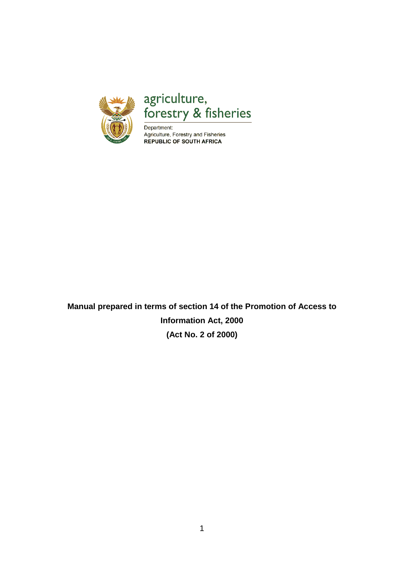

agriculture,<br>forestry & fisheries

Department: Agriculture, Forestry and Fisheries **REPUBLIC OF SOUTH AFRICA** 

**Manual prepared in terms of section 14 of the Promotion of Access to Information Act, 2000 (Act No. 2 of 2000)**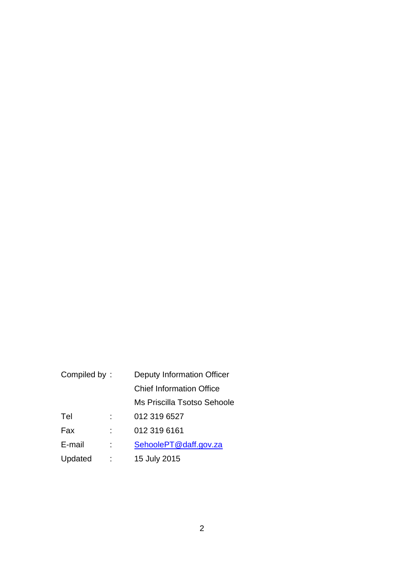| Compiled by: |  | Deputy Information Officer      |
|--------------|--|---------------------------------|
|              |  | <b>Chief Information Office</b> |
|              |  | Ms Priscilla Tsotso Sehoole     |
| Tel          |  | 012 319 6527                    |
| Fax          |  | 012 319 6161                    |
| E-mail       |  | SehoolePT@daff.gov.za           |
| Updated      |  | 15 July 2015                    |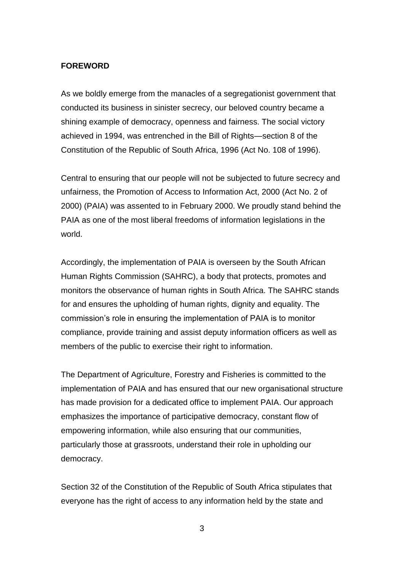#### **FOREWORD**

As we boldly emerge from the manacles of a segregationist government that conducted its business in sinister secrecy, our beloved country became a shining example of democracy, openness and fairness. The social victory achieved in 1994, was entrenched in the Bill of Rights—section 8 of the Constitution of the Republic of South Africa, 1996 (Act No. 108 of 1996).

Central to ensuring that our people will not be subjected to future secrecy and unfairness, the Promotion of Access to Information Act, 2000 (Act No. 2 of 2000) (PAIA) was assented to in February 2000. We proudly stand behind the PAIA as one of the most liberal freedoms of information legislations in the world.

Accordingly, the implementation of PAIA is overseen by the South African Human Rights Commission (SAHRC), a body that protects, promotes and monitors the observance of human rights in South Africa. The SAHRC stands for and ensures the upholding of human rights, dignity and equality. The commission's role in ensuring the implementation of PAIA is to monitor compliance, provide training and assist deputy information officers as well as members of the public to exercise their right to information.

The Department of Agriculture, Forestry and Fisheries is committed to the implementation of PAIA and has ensured that our new organisational structure has made provision for a dedicated office to implement PAIA. Our approach emphasizes the importance of participative democracy, constant flow of empowering information, while also ensuring that our communities, particularly those at grassroots, understand their role in upholding our democracy.

Section 32 of the Constitution of the Republic of South Africa stipulates that everyone has the right of access to any information held by the state and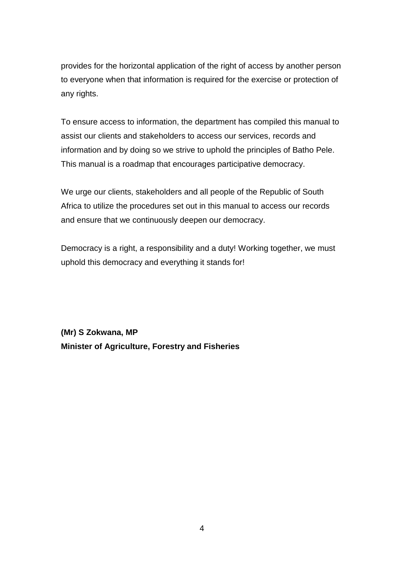provides for the horizontal application of the right of access by another person to everyone when that information is required for the exercise or protection of any rights.

To ensure access to information, the department has compiled this manual to assist our clients and stakeholders to access our services, records and information and by doing so we strive to uphold the principles of Batho Pele. This manual is a roadmap that encourages participative democracy.

We urge our clients, stakeholders and all people of the Republic of South Africa to utilize the procedures set out in this manual to access our records and ensure that we continuously deepen our democracy.

Democracy is a right, a responsibility and a duty! Working together, we must uphold this democracy and everything it stands for!

**(Mr) S Zokwana, MP Minister of Agriculture, Forestry and Fisheries**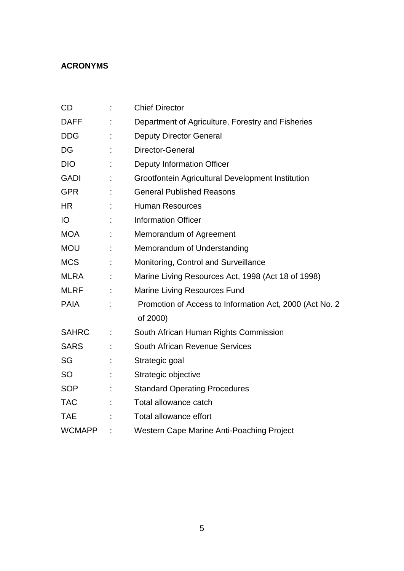## **ACRONYMS**

| CD            |    | <b>Chief Director</b>                                    |
|---------------|----|----------------------------------------------------------|
| <b>DAFF</b>   |    | Department of Agriculture, Forestry and Fisheries        |
| <b>DDG</b>    | t  | <b>Deputy Director General</b>                           |
| DG            |    | Director-General                                         |
| <b>DIO</b>    |    | <b>Deputy Information Officer</b>                        |
| <b>GADI</b>   | t  | Grootfontein Agricultural Development Institution        |
| <b>GPR</b>    |    | <b>General Published Reasons</b>                         |
| <b>HR</b>     |    | <b>Human Resources</b>                                   |
| IO            |    | <b>Information Officer</b>                               |
| <b>MOA</b>    | t  | Memorandum of Agreement                                  |
| <b>MOU</b>    | t  | Memorandum of Understanding                              |
| <b>MCS</b>    | t  | Monitoring, Control and Surveillance                     |
| <b>MLRA</b>   |    | Marine Living Resources Act, 1998 (Act 18 of 1998)       |
| <b>MLRF</b>   |    | <b>Marine Living Resources Fund</b>                      |
| <b>PAIA</b>   |    | Promotion of Access to Information Act, 2000 (Act No. 2) |
|               |    | of 2000)                                                 |
| <b>SAHRC</b>  | ÷, | South African Human Rights Commission                    |
| <b>SARS</b>   |    | South African Revenue Services                           |
| SG            |    | Strategic goal                                           |
| <b>SO</b>     |    | Strategic objective                                      |
| <b>SOP</b>    |    | <b>Standard Operating Procedures</b>                     |
| <b>TAC</b>    |    | Total allowance catch                                    |
| <b>TAE</b>    |    | Total allowance effort                                   |
| <b>WCMAPP</b> |    | Western Cape Marine Anti-Poaching Project                |
|               |    |                                                          |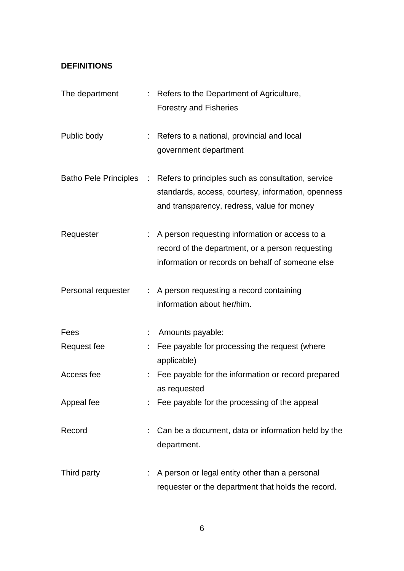## **DEFINITIONS**

| The department     | : Refers to the Department of Agriculture,<br><b>Forestry and Fisheries</b>                                                                                                    |
|--------------------|--------------------------------------------------------------------------------------------------------------------------------------------------------------------------------|
| Public body        | : Refers to a national, provincial and local<br>government department                                                                                                          |
|                    | Batho Pele Principles : Refers to principles such as consultation, service<br>standards, access, courtesy, information, openness<br>and transparency, redress, value for money |
| Requester          | : A person requesting information or access to a<br>record of the department, or a person requesting<br>information or records on behalf of someone else                       |
| Personal requester | : A person requesting a record containing<br>information about her/him.                                                                                                        |
| Fees               | Amounts payable:                                                                                                                                                               |
| Request fee        | Fee payable for processing the request (where<br>applicable)                                                                                                                   |
| Access fee         | : Fee payable for the information or record prepared<br>as requested                                                                                                           |
| Appeal fee         | : Fee payable for the processing of the appeal                                                                                                                                 |
| Record             | Can be a document, data or information held by the<br>department.                                                                                                              |
| Third party        | : A person or legal entity other than a personal<br>requester or the department that holds the record.                                                                         |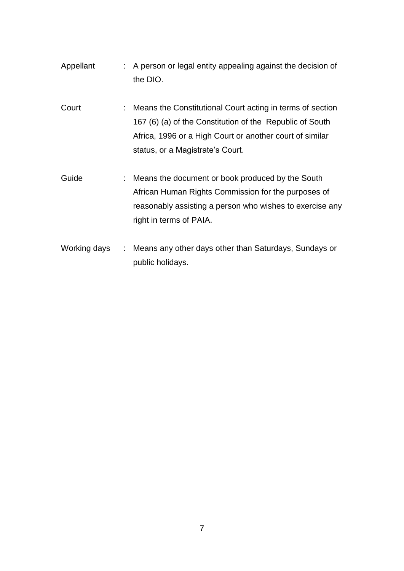| Appellant           | : A person or legal entity appealing against the decision of<br>the DIO.                                                                                                                                                |
|---------------------|-------------------------------------------------------------------------------------------------------------------------------------------------------------------------------------------------------------------------|
| Court               | : Means the Constitutional Court acting in terms of section<br>167 (6) (a) of the Constitution of the Republic of South<br>Africa, 1996 or a High Court or another court of similar<br>status, or a Magistrate's Court. |
| Guide               | : Means the document or book produced by the South<br>African Human Rights Commission for the purposes of<br>reasonably assisting a person who wishes to exercise any<br>right in terms of PAIA.                        |
| <i>Morking dove</i> | . Moone any other days other than Coturdays, Cundays or                                                                                                                                                                 |

Working days : Means any other days other than Saturdays, Sundays or public holidays.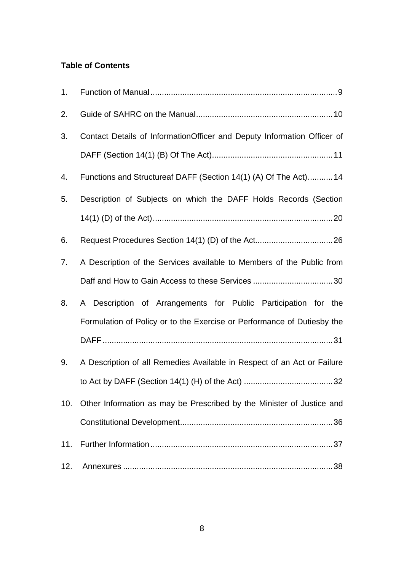## **Table of Contents**

| 1.  |                                                                         |
|-----|-------------------------------------------------------------------------|
| 2.  |                                                                         |
| 3.  | Contact Details of InformationOfficer and Deputy Information Officer of |
|     |                                                                         |
| 4.  | Functions and Structureaf DAFF (Section 14(1) (A) Of The Act)14         |
| 5.  | Description of Subjects on which the DAFF Holds Records (Section        |
|     |                                                                         |
| 6.  |                                                                         |
| 7.  | A Description of the Services available to Members of the Public from   |
|     |                                                                         |
| 8.  | A Description of Arrangements for Public Participation for the          |
|     | Formulation of Policy or to the Exercise or Performance of Dutiesby the |
|     |                                                                         |
| 9.  | A Description of all Remedies Available in Respect of an Act or Failure |
|     |                                                                         |
| 10. | Other Information as may be Prescribed by the Minister of Justice and   |
|     |                                                                         |
| 11. |                                                                         |
| 12. |                                                                         |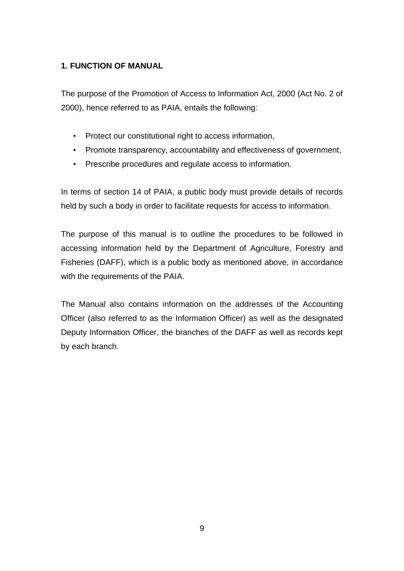### <span id="page-8-0"></span>**1. FUNCTION OF MANUAL**

The purpose of the Promotion of Access to Information Act, 2000 (Act No. 2 of 2000), hence referred to as PAIA, entails the following:

- Protect our constitutional right to access information,
- Promote transparency, accountability and effectiveness of government,
- Prescribe procedures and regulate access to information.

In terms of section 14 of PAIA, a public body must provide details of records held by such a body in order to facilitate requests for access to information.

The purpose of this manual is to outline the procedures to be followed in accessing information held by the Department of Agriculture, Forestry and Fisheries (DAFF), which is a public body as mentioned above, in accordance with the requirements of the PAIA.

The Manual also contains information on the addresses of the Accounting Officer (also referred to as the Information Officer) as well as the designated Deputy Information Officer, the branches of the DAFF as well as records kept by each branch.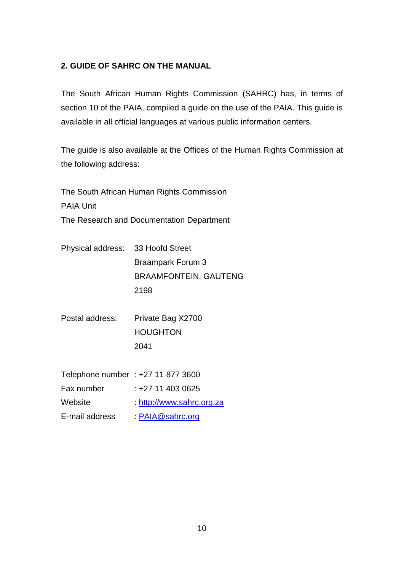### <span id="page-9-0"></span>**2. GUIDE OF SAHRC ON THE MANUAL**

The South African Human Rights Commission (SAHRC) has, in terms of section 10 of the PAIA, compiled a guide on the use of the PAIA. This guide is available in all official languages at various public information centers.

The guide is also available at the Offices of the Human Rights Commission at the following address:

The South African Human Rights Commission PAIA Unit The Research and Documentation Department

| Physical address: 33 Hoofd Street |                              |
|-----------------------------------|------------------------------|
|                                   | <b>Braampark Forum 3</b>     |
|                                   | <b>BRAAMFONTEIN, GAUTENG</b> |
|                                   | 2198                         |
|                                   |                              |

Postal address: Private Bag X2700 HOUGHTON 2041

| Telephone number: +27 11 877 3600 |                         |
|-----------------------------------|-------------------------|
| Fax number                        | $: +2714030625$         |
| Website                           | http://www.sahrc.org.za |
| E-mail address                    | PAIA@sahrc.org          |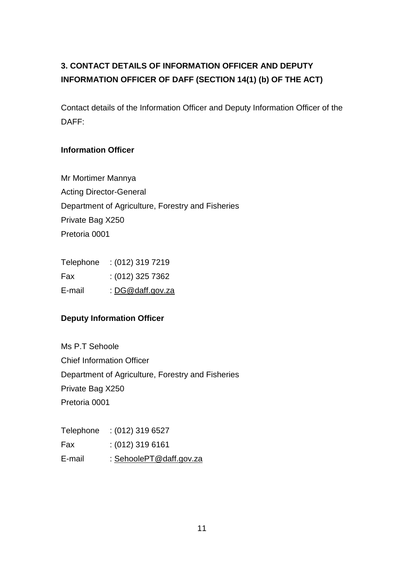# <span id="page-10-0"></span>**3. CONTACT DETAILS OF INFORMATION OFFICER AND DEPUTY INFORMATION OFFICER OF DAFF (SECTION 14(1) (b) OF THE ACT)**

Contact details of the Information Officer and Deputy Information Officer of the DAFF:

### **Information Officer**

Mr Mortimer Mannya Acting Director-General Department of Agriculture, Forestry and Fisheries Private Bag X250 Pretoria 0001

| $: (012)$ 319 7219 |
|--------------------|
| : (012) 325 7362   |
| : DG@daff.gov.za   |
|                    |

### **Deputy Information Officer**

Ms P.T Sehoole Chief Information Officer Department of Agriculture, Forestry and Fisheries Private Bag X250 Pretoria 0001

| Telephone | $: (012)$ 319 6527      |
|-----------|-------------------------|
| Fax       | $: (012)$ 319 6161      |
| E-mail    | : SehoolePT@daff.gov.za |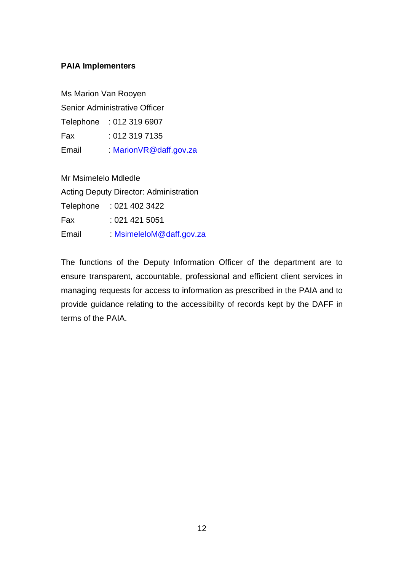#### **PAIA Implementers**

Ms Marion Van Rooyen Senior Administrative Officer Telephone : 012 319 6907 Fax : 012 319 7135 Email : [MarionVR@daff.gov.za](mailto:MarionVR@daff.gov.za)

Mr Msimelelo Mdledle Acting Deputy Director: Administration Telephone : 021 402 3422 Fax : 021 421 5051 Email : [MsimeleloM@daff.gov.za](mailto:MsimeleloM@daff.gov.za)

The functions of the Deputy Information Officer of the department are to ensure transparent, accountable, professional and efficient client services in managing requests for access to information as prescribed in the PAIA and to provide guidance relating to the accessibility of records kept by the DAFF in terms of the PAIA.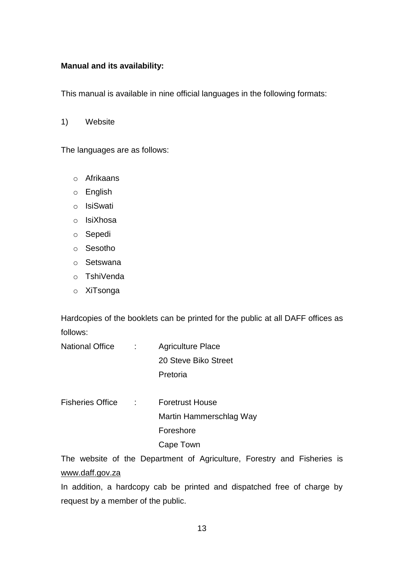#### **Manual and its availability:**

This manual is available in nine official languages in the following formats:

1) Website

The languages are as follows:

- o Afrikaans
- o English
- o IsiSwati
- o IsiXhosa
- o Sepedi
- o Sesotho
- o Setswana
- o TshiVenda
- o XiTsonga

Hardcopies of the booklets can be printed for the public at all DAFF offices as follows:

- National Office : Agriculture Place 20 Steve Biko Street Pretoria
- Fisheries Office : Foretrust House Martin Hammerschlag Way Foreshore Cape Town

The website of the Department of Agriculture, Forestry and Fisheries is [www.daff.gov.za](http://www.daff.gov.za/)

In addition, a hardcopy cab be printed and dispatched free of charge by request by a member of the public.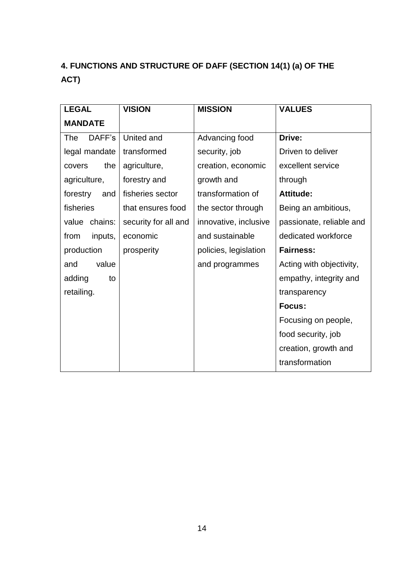# <span id="page-13-0"></span>**4. FUNCTIONS AND STRUCTURE OF DAFF (SECTION 14(1) (a) OF THE ACT)**

| <b>LEGAL</b>         | <b>VISION</b>        | <b>MISSION</b>        | <b>VALUES</b>            |
|----------------------|----------------------|-----------------------|--------------------------|
| <b>MANDATE</b>       |                      |                       |                          |
| DAFF's<br><b>The</b> | United and           | Advancing food        | Drive:                   |
| legal mandate        | transformed          | security, job         | Driven to deliver        |
| the<br>covers        | agriculture,         | creation, economic    | excellent service        |
| agriculture,         | forestry and         | growth and            | through                  |
| forestry<br>and      | fisheries sector     | transformation of     | <b>Attitude:</b>         |
| fisheries            | that ensures food    | the sector through    | Being an ambitious,      |
| chains:<br>value     | security for all and | innovative, inclusive | passionate, reliable and |
| from<br>inputs,      | economic             | and sustainable       | dedicated workforce      |
| production           | prosperity           | policies, legislation | <b>Fairness:</b>         |
| value<br>and         |                      | and programmes        | Acting with objectivity, |
| adding<br>to         |                      |                       | empathy, integrity and   |
| retailing.           |                      |                       | transparency             |
|                      |                      |                       | Focus:                   |
|                      |                      |                       | Focusing on people,      |
|                      |                      |                       | food security, job       |
|                      |                      |                       | creation, growth and     |
|                      |                      |                       | transformation           |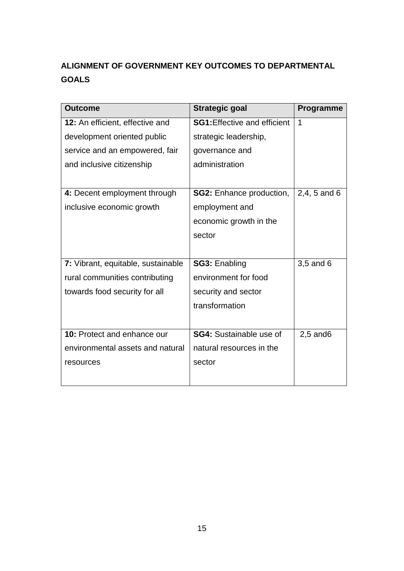# **ALIGNMENT OF GOVERNMENT KEY OUTCOMES TO DEPARTMENTAL GOALS**

| <b>Outcome</b>                     | <b>Strategic goal</b>               | <b>Programme</b> |
|------------------------------------|-------------------------------------|------------------|
| 12: An efficient, effective and    | <b>SG1:</b> Effective and efficient | 1                |
| development oriented public        | strategic leadership,               |                  |
| service and an empowered, fair     | governance and                      |                  |
| and inclusive citizenship          | administration                      |                  |
|                                    |                                     |                  |
| 4: Decent employment through       | <b>SG2: Enhance production,</b>     | 2,4, 5 and 6     |
| inclusive economic growth          | employment and                      |                  |
|                                    | economic growth in the              |                  |
|                                    | sector                              |                  |
|                                    |                                     |                  |
| 7: Vibrant, equitable, sustainable | <b>SG3: Enabling</b>                | 3,5 and 6        |
| rural communities contributing     | environment for food                |                  |
| towards food security for all      | security and sector                 |                  |
|                                    | transformation                      |                  |
|                                    |                                     |                  |
| <b>10: Protect and enhance our</b> | <b>SG4:</b> Sustainable use of      | $2,5$ and 6      |
| environmental assets and natural   | natural resources in the            |                  |
| resources                          | sector                              |                  |
|                                    |                                     |                  |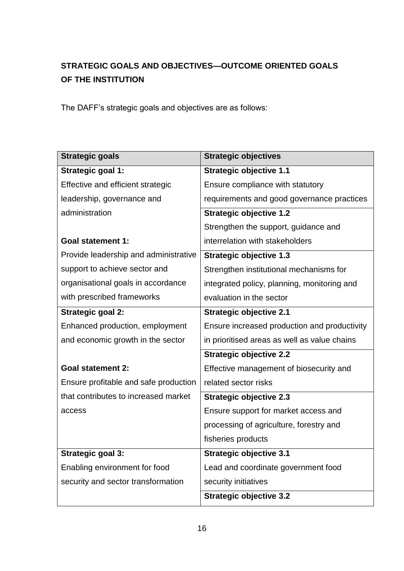## **STRATEGIC GOALS AND OBJECTIVES—OUTCOME ORIENTED GOALS OF THE INSTITUTION**

The DAFF's strategic goals and objectives are as follows:

| <b>Strategic goals</b>                | <b>Strategic objectives</b>                  |
|---------------------------------------|----------------------------------------------|
| <b>Strategic goal 1:</b>              | <b>Strategic objective 1.1</b>               |
| Effective and efficient strategic     | Ensure compliance with statutory             |
| leadership, governance and            | requirements and good governance practices   |
| administration                        | <b>Strategic objective 1.2</b>               |
|                                       | Strengthen the support, guidance and         |
| <b>Goal statement 1:</b>              | interrelation with stakeholders              |
| Provide leadership and administrative | <b>Strategic objective 1.3</b>               |
| support to achieve sector and         | Strengthen institutional mechanisms for      |
| organisational goals in accordance    | integrated policy, planning, monitoring and  |
| with prescribed frameworks            | evaluation in the sector                     |
| <b>Strategic goal 2:</b>              | <b>Strategic objective 2.1</b>               |
| Enhanced production, employment       | Ensure increased production and productivity |
| and economic growth in the sector     | in prioritised areas as well as value chains |
|                                       | <b>Strategic objective 2.2</b>               |
| <b>Goal statement 2:</b>              | Effective management of biosecurity and      |
| Ensure profitable and safe production | related sector risks                         |
| that contributes to increased market  | <b>Strategic objective 2.3</b>               |
| access                                | Ensure support for market access and         |
|                                       | processing of agriculture, forestry and      |
|                                       | fisheries products                           |
| <b>Strategic goal 3:</b>              | <b>Strategic objective 3.1</b>               |
| Enabling environment for food         | Lead and coordinate government food          |
| security and sector transformation    | security initiatives                         |
|                                       | <b>Strategic objective 3.2</b>               |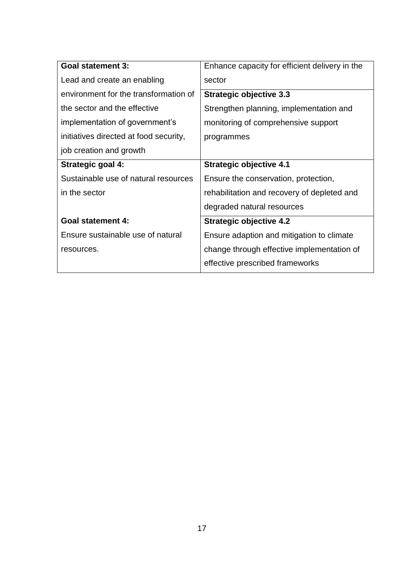| <b>Goal statement 3:</b>               | Enhance capacity for efficient delivery in the |
|----------------------------------------|------------------------------------------------|
| Lead and create an enabling            | sector                                         |
| environment for the transformation of  | <b>Strategic objective 3.3</b>                 |
| the sector and the effective           | Strengthen planning, implementation and        |
| implementation of government's         | monitoring of comprehensive support            |
| initiatives directed at food security, | programmes                                     |
| job creation and growth                |                                                |
| Strategic goal 4:                      | <b>Strategic objective 4.1</b>                 |
| Sustainable use of natural resources   | Ensure the conservation, protection,           |
| in the sector                          | rehabilitation and recovery of depleted and    |
|                                        | degraded natural resources                     |
| <b>Goal statement 4:</b>               | <b>Strategic objective 4.2</b>                 |
| Ensure sustainable use of natural      | Ensure adaption and mitigation to climate      |
| resources.                             | change through effective implementation of     |
|                                        | effective prescribed frameworks                |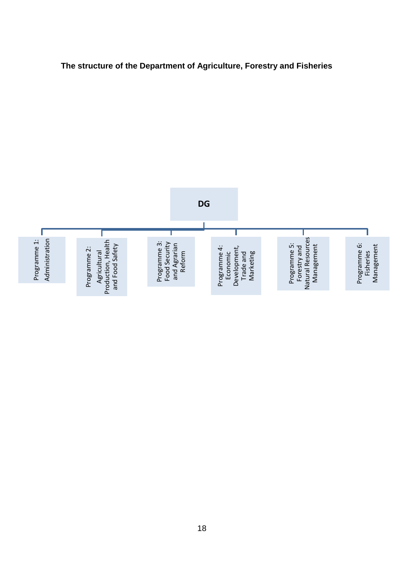

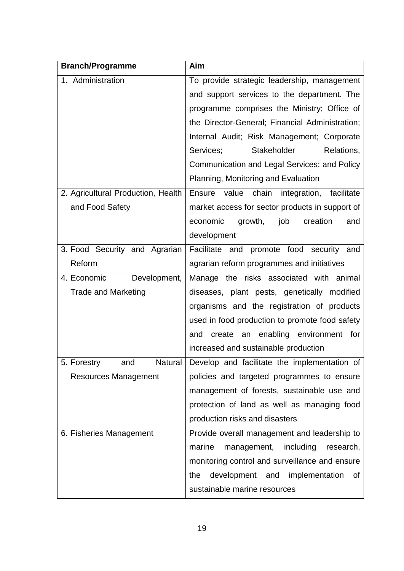| <b>Branch/Programme</b>            | Aim                                                    |
|------------------------------------|--------------------------------------------------------|
| 1. Administration                  | To provide strategic leadership, management            |
|                                    | and support services to the department. The            |
|                                    | programme comprises the Ministry; Office of            |
|                                    | the Director-General; Financial Administration;        |
|                                    | Internal Audit; Risk Management; Corporate             |
|                                    | Stakeholder<br>Services;<br>Relations.                 |
|                                    | Communication and Legal Services; and Policy           |
|                                    | Planning, Monitoring and Evaluation                    |
| 2. Agricultural Production, Health | value chain<br>integration, facilitate<br>Ensure       |
| and Food Safety                    | market access for sector products in support of        |
|                                    | economic<br>growth,<br>job<br>creation<br>and          |
|                                    | development                                            |
| 3. Food Security and Agrarian      | Facilitate and promote food security and               |
| Reform                             | agrarian reform programmes and initiatives             |
| 4. Economic<br>Development,        | Manage the risks associated with animal                |
| <b>Trade and Marketing</b>         | diseases, plant pests, genetically modified            |
|                                    | organisms and the registration of products             |
|                                    | used in food production to promote food safety         |
|                                    | an enabling environment<br>create<br>for<br>and        |
|                                    | increased and sustainable production                   |
| 5<br>Forestry<br>and               | Natural   Develop and facilitate the implementation of |
| <b>Resources Management</b>        | policies and targeted programmes to ensure             |
|                                    | management of forests, sustainable use and             |
|                                    | protection of land as well as managing food            |
|                                    | production risks and disasters                         |
| 6. Fisheries Management            | Provide overall management and leadership to           |
|                                    | marine<br>management, including<br>research,           |
|                                    | monitoring control and surveillance and ensure         |
|                                    | development and implementation<br>the<br>of            |
|                                    | sustainable marine resources                           |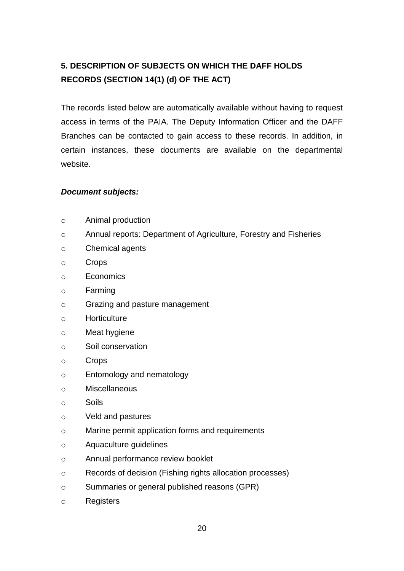## <span id="page-19-0"></span>**5. DESCRIPTION OF SUBJECTS ON WHICH THE DAFF HOLDS RECORDS (SECTION 14(1) (d) OF THE ACT)**

The records listed below are automatically available without having to request access in terms of the PAIA. The Deputy Information Officer and the DAFF Branches can be contacted to gain access to these records. In addition, in certain instances, these documents are available on the departmental website.

#### *Document subjects:*

- o Animal production
- o Annual reports: Department of Agriculture, Forestry and Fisheries
- o Chemical agents
- o Crops
- o Economics
- o Farming
- o Grazing and pasture management
- o Horticulture
- o Meat hygiene
- o Soil conservation
- o Crops
- o Entomology and nematology
- o Miscellaneous
- o Soils
- o Veld and pastures
- o Marine permit application forms and requirements
- o Aquaculture guidelines
- o Annual performance review booklet
- o Records of decision (Fishing rights allocation processes)
- o Summaries or general published reasons (GPR)
- o Registers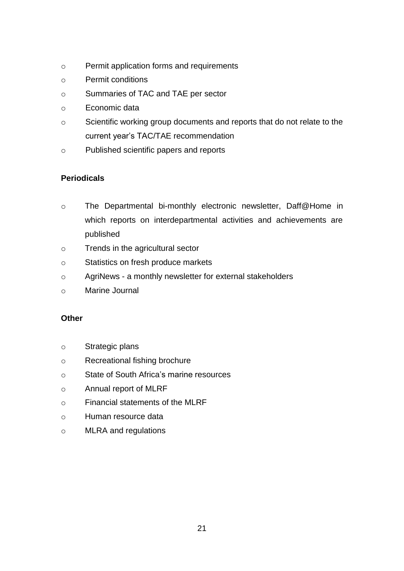- o Permit application forms and requirements
- o Permit conditions
- o Summaries of TAC and TAE per sector
- o Economic data
- o Scientific working group documents and reports that do not relate to the current year's TAC/TAE recommendation
- o Published scientific papers and reports

### **Periodicals**

- o The Departmental bi-monthly electronic newsletter, Daff@Home in which reports on interdepartmental activities and achievements are published
- o Trends in the agricultural sector
- o Statistics on fresh produce markets
- o AgriNews a monthly newsletter for external stakeholders
- o Marine Journal

### **Other**

- o Strategic plans
- o Recreational fishing brochure
- o State of South Africa's marine resources
- o Annual report of MLRF
- o Financial statements of the MLRF
- o Human resource data
- o MLRA and regulations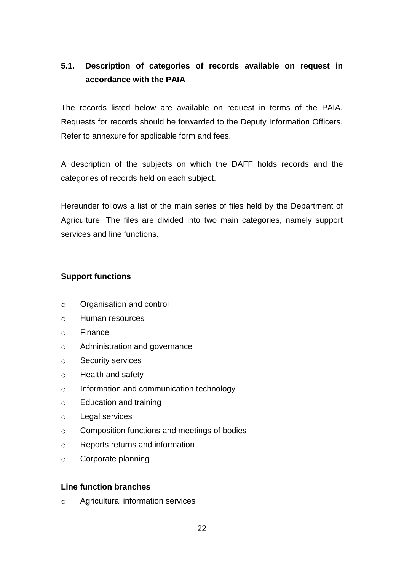## **5.1. Description of categories of records available on request in accordance with the PAIA**

The records listed below are available on request in terms of the PAIA. Requests for records should be forwarded to the Deputy Information Officers. Refer to annexure for applicable form and fees.

A description of the subjects on which the DAFF holds records and the categories of records held on each subject.

Hereunder follows a list of the main series of files held by the Department of Agriculture. The files are divided into two main categories, namely support services and line functions.

#### **Support functions**

- o Organisation and control
- o Human resources
- o Finance
- o Administration and governance
- o Security services
- o Health and safety
- o Information and communication technology
- o Education and training
- o Legal services
- o Composition functions and meetings of bodies
- o Reports returns and information
- o Corporate planning

#### **Line function branches**

o Agricultural information services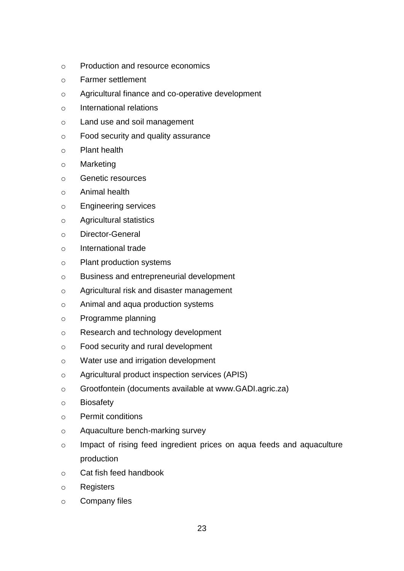- o Production and resource economics
- o Farmer settlement
- o Agricultural finance and co-operative development
- o International relations
- o Land use and soil management
- o Food security and quality assurance
- o Plant health
- o Marketing
- o Genetic resources
- o Animal health
- o Engineering services
- o Agricultural statistics
- o Director-General
- o International trade
- o Plant production systems
- o Business and entrepreneurial development
- o Agricultural risk and disaster management
- o Animal and aqua production systems
- o Programme planning
- o Research and technology development
- o Food security and rural development
- o Water use and irrigation development
- o Agricultural product inspection services (APIS)
- o Grootfontein (documents available at www.GADI.agric.za)
- o Biosafety
- o Permit conditions
- o Aquaculture bench-marking survey
- o Impact of rising feed ingredient prices on aqua feeds and aquaculture production
- o Cat fish feed handbook
- o Registers
- o Company files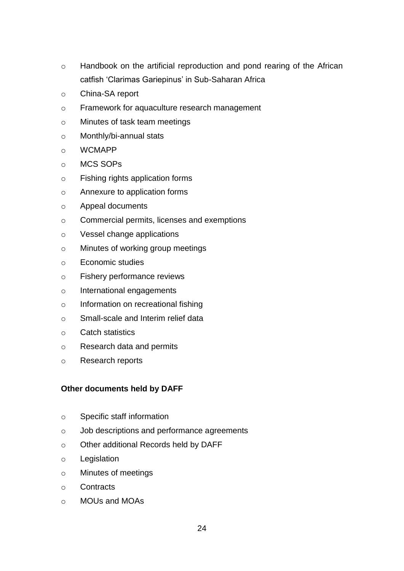- o Handbook on the artificial reproduction and pond rearing of the African catfish 'Clarimas Gariepinus' in Sub-Saharan Africa
- o China-SA report
- o Framework for aquaculture research management
- o Minutes of task team meetings
- o Monthly/bi-annual stats
- o WCMAPP
- o MCS SOPs
- o Fishing rights application forms
- o Annexure to application forms
- o Appeal documents
- o Commercial permits, licenses and exemptions
- o Vessel change applications
- o Minutes of working group meetings
- o Economic studies
- o Fishery performance reviews
- o International engagements
- o Information on recreational fishing
- o Small-scale and Interim relief data
- o Catch statistics
- o Research data and permits
- o Research reports

### **Other documents held by DAFF**

- o Specific staff information
- o Job descriptions and performance agreements
- o Other additional Records held by DAFF
- o Legislation
- o Minutes of meetings
- o Contracts
- o MOUs and MOAs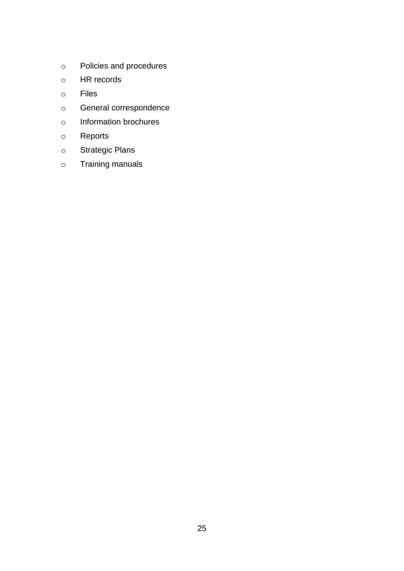- o Policies and procedures
- o HR records
- o Files
- o General correspondence
- o Information brochures
- o Reports
- o Strategic Plans
- o Training manuals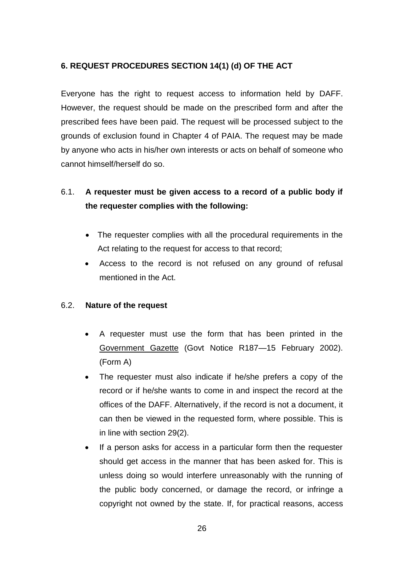### <span id="page-25-0"></span>**6. REQUEST PROCEDURES SECTION 14(1) (d) OF THE ACT**

Everyone has the right to request access to information held by DAFF. However, the request should be made on the prescribed form and after the prescribed fees have been paid. The request will be processed subject to the grounds of exclusion found in Chapter 4 of PAIA. The request may be made by anyone who acts in his/her own interests or acts on behalf of someone who cannot himself/herself do so.

## 6.1. **A requester must be given access to a record of a public body if the requester complies with the following:**

- The requester complies with all the procedural requirements in the Act relating to the request for access to that record;
- Access to the record is not refused on any ground of refusal mentioned in the Act.

### 6.2. **Nature of the request**

- A requester must use the form that has been printed in the Government Gazette (Govt Notice R187—15 February 2002). (Form A)
- The requester must also indicate if he/she prefers a copy of the record or if he/she wants to come in and inspect the record at the offices of the DAFF. Alternatively, if the record is not a document, it can then be viewed in the requested form, where possible. This is in line with section 29(2).
- If a person asks for access in a particular form then the requester should get access in the manner that has been asked for. This is unless doing so would interfere unreasonably with the running of the public body concerned, or damage the record, or infringe a copyright not owned by the state. If, for practical reasons, access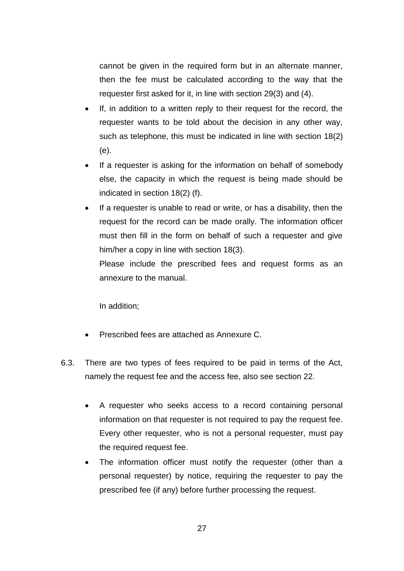cannot be given in the required form but in an alternate manner, then the fee must be calculated according to the way that the requester first asked for it, in line with section 29(3) and (4).

- If, in addition to a written reply to their request for the record, the requester wants to be told about the decision in any other way, such as telephone, this must be indicated in line with section 18(2) (e).
- If a requester is asking for the information on behalf of somebody else, the capacity in which the request is being made should be indicated in section 18(2) (f).
- If a requester is unable to read or write, or has a disability, then the request for the record can be made orally. The information officer must then fill in the form on behalf of such a requester and give him/her a copy in line with section 18(3).

Please include the prescribed fees and request forms as an annexure to the manual.

In addition;

- Prescribed fees are attached as Annexure C.
- 6.3. There are two types of fees required to be paid in terms of the Act, namely the request fee and the access fee, also see section 22.
	- A requester who seeks access to a record containing personal information on that requester is not required to pay the request fee. Every other requester, who is not a personal requester, must pay the required request fee.
	- The information officer must notify the requester (other than a personal requester) by notice, requiring the requester to pay the prescribed fee (if any) before further processing the request.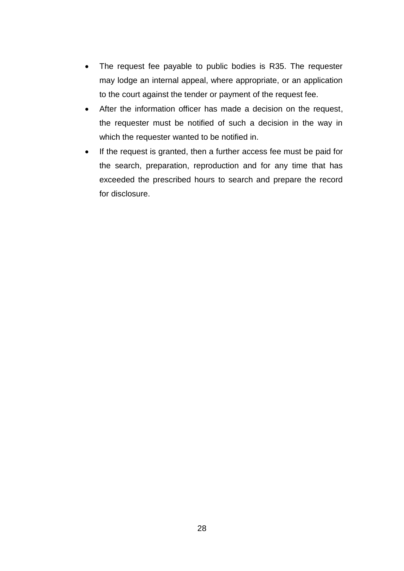- The request fee payable to public bodies is R35. The requester may lodge an internal appeal, where appropriate, or an application to the court against the tender or payment of the request fee.
- After the information officer has made a decision on the request, the requester must be notified of such a decision in the way in which the requester wanted to be notified in.
- If the request is granted, then a further access fee must be paid for the search, preparation, reproduction and for any time that has exceeded the prescribed hours to search and prepare the record for disclosure.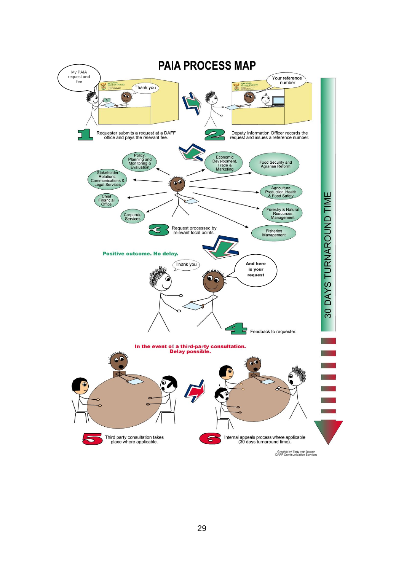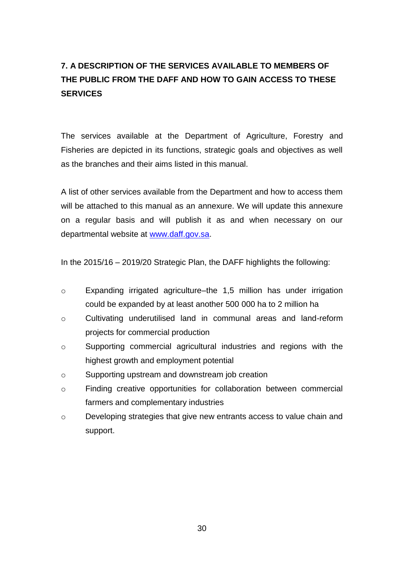# <span id="page-29-0"></span>**7. A DESCRIPTION OF THE SERVICES AVAILABLE TO MEMBERS OF THE PUBLIC FROM THE DAFF AND HOW TO GAIN ACCESS TO THESE SERVICES**

The services available at the Department of Agriculture, Forestry and Fisheries are depicted in its functions, strategic goals and objectives as well as the branches and their aims listed in this manual.

A list of other services available from the Department and how to access them will be attached to this manual as an annexure. We will update this annexure on a regular basis and will publish it as and when necessary on our departmental website at [www.daff.gov.sa.](http://www.daff.gov.za/)

In the 2015/16 – 2019/20 Strategic Plan, the DAFF highlights the following:

- o Expanding irrigated agriculture–the 1,5 million has under irrigation could be expanded by at least another 500 000 ha to 2 million ha
- o Cultivating underutilised land in communal areas and land-reform projects for commercial production
- o Supporting commercial agricultural industries and regions with the highest growth and employment potential
- o Supporting upstream and downstream job creation
- o Finding creative opportunities for collaboration between commercial farmers and complementary industries
- o Developing strategies that give new entrants access to value chain and support.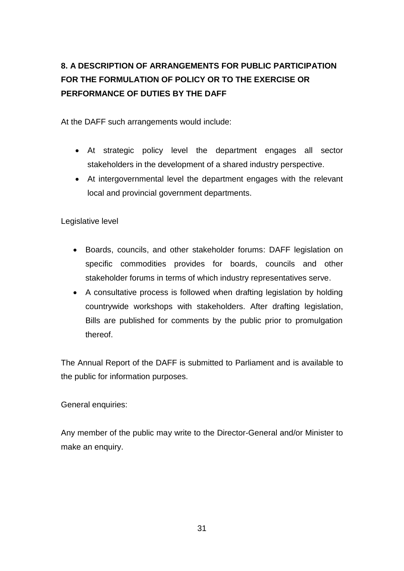# <span id="page-30-0"></span>**8. A DESCRIPTION OF ARRANGEMENTS FOR PUBLIC PARTICIPATION FOR THE FORMULATION OF POLICY OR TO THE EXERCISE OR PERFORMANCE OF DUTIES BY THE DAFF**

At the DAFF such arrangements would include:

- At strategic policy level the department engages all sector stakeholders in the development of a shared industry perspective.
- At intergovernmental level the department engages with the relevant local and provincial government departments.

Legislative level

- Boards, councils, and other stakeholder forums: DAFF legislation on specific commodities provides for boards, councils and other stakeholder forums in terms of which industry representatives serve.
- A consultative process is followed when drafting legislation by holding countrywide workshops with stakeholders. After drafting legislation, Bills are published for comments by the public prior to promulgation thereof.

The Annual Report of the DAFF is submitted to Parliament and is available to the public for information purposes.

General enquiries:

Any member of the public may write to the Director-General and/or Minister to make an enquiry.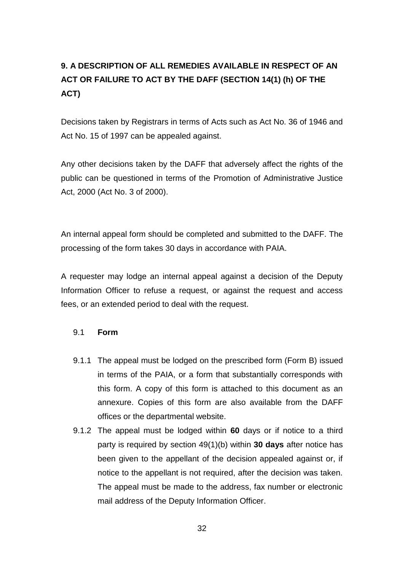# <span id="page-31-0"></span>**9. A DESCRIPTION OF ALL REMEDIES AVAILABLE IN RESPECT OF AN ACT OR FAILURE TO ACT BY THE DAFF (SECTION 14(1) (h) OF THE ACT)**

Decisions taken by Registrars in terms of Acts such as Act No. 36 of 1946 and Act No. 15 of 1997 can be appealed against.

Any other decisions taken by the DAFF that adversely affect the rights of the public can be questioned in terms of the Promotion of Administrative Justice Act, 2000 (Act No. 3 of 2000).

An internal appeal form should be completed and submitted to the DAFF. The processing of the form takes 30 days in accordance with PAIA.

A requester may lodge an internal appeal against a decision of the Deputy Information Officer to refuse a request, or against the request and access fees, or an extended period to deal with the request.

#### 9.1 **Form**

- 9.1.1 The appeal must be lodged on the prescribed form (Form B) issued in terms of the PAIA, or a form that substantially corresponds with this form. A copy of this form is attached to this document as an annexure. Copies of this form are also available from the DAFF offices or the departmental website.
- 9.1.2 The appeal must be lodged within **60** days or if notice to a third party is required by section 49(1)(b) within **30 days** after notice has been given to the appellant of the decision appealed against or, if notice to the appellant is not required, after the decision was taken. The appeal must be made to the address, fax number or electronic mail address of the Deputy Information Officer.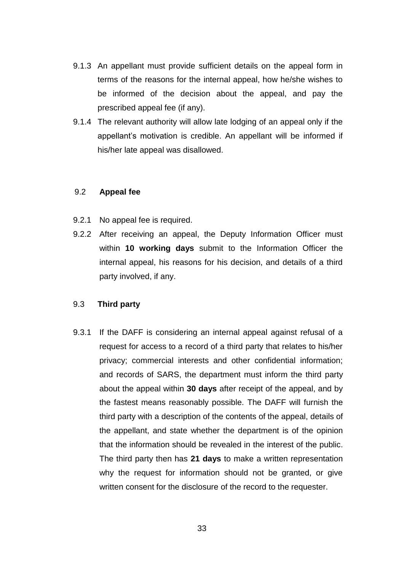- 9.1.3 An appellant must provide sufficient details on the appeal form in terms of the reasons for the internal appeal, how he/she wishes to be informed of the decision about the appeal, and pay the prescribed appeal fee (if any).
- 9.1.4 The relevant authority will allow late lodging of an appeal only if the appellant's motivation is credible. An appellant will be informed if his/her late appeal was disallowed.

#### 9.2 **Appeal fee**

- 9.2.1 No appeal fee is required.
- 9.2.2 After receiving an appeal, the Deputy Information Officer must within **10 working days** submit to the Information Officer the internal appeal, his reasons for his decision, and details of a third party involved, if any.

#### 9.3 **Third party**

9.3.1 If the DAFF is considering an internal appeal against refusal of a request for access to a record of a third party that relates to his/her privacy; commercial interests and other confidential information; and records of SARS, the department must inform the third party about the appeal within **30 days** after receipt of the appeal, and by the fastest means reasonably possible. The DAFF will furnish the third party with a description of the contents of the appeal, details of the appellant, and state whether the department is of the opinion that the information should be revealed in the interest of the public. The third party then has **21 days** to make a written representation why the request for information should not be granted, or give written consent for the disclosure of the record to the requester.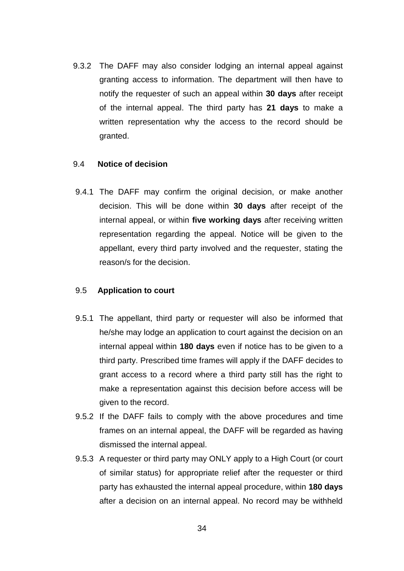9.3.2 The DAFF may also consider lodging an internal appeal against granting access to information. The department will then have to notify the requester of such an appeal within **30 days** after receipt of the internal appeal. The third party has **21 days** to make a written representation why the access to the record should be granted.

#### 9.4 **Notice of decision**

9.4.1 The DAFF may confirm the original decision, or make another decision. This will be done within **30 days** after receipt of the internal appeal, or within **five working days** after receiving written representation regarding the appeal. Notice will be given to the appellant, every third party involved and the requester, stating the reason/s for the decision.

#### 9.5 **Application to court**

- 9.5.1 The appellant, third party or requester will also be informed that he/she may lodge an application to court against the decision on an internal appeal within **180 days** even if notice has to be given to a third party. Prescribed time frames will apply if the DAFF decides to grant access to a record where a third party still has the right to make a representation against this decision before access will be given to the record.
- 9.5.2 If the DAFF fails to comply with the above procedures and time frames on an internal appeal, the DAFF will be regarded as having dismissed the internal appeal.
- 9.5.3 A requester or third party may ONLY apply to a High Court (or court of similar status) for appropriate relief after the requester or third party has exhausted the internal appeal procedure, within **180 days**  after a decision on an internal appeal. No record may be withheld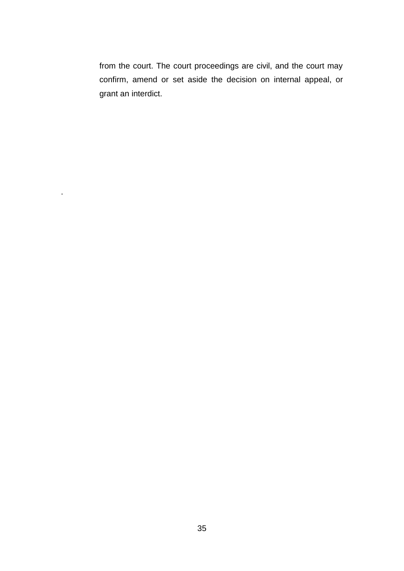from the court. The court proceedings are civil, and the court may confirm, amend or set aside the decision on internal appeal, or grant an interdict.

.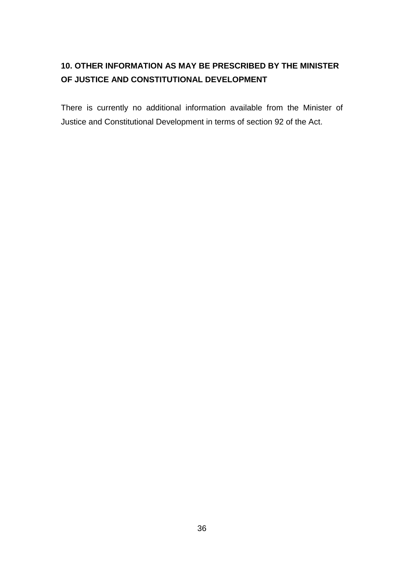## <span id="page-35-0"></span>**10. OTHER INFORMATION AS MAY BE PRESCRIBED BY THE MINISTER OF JUSTICE AND CONSTITUTIONAL DEVELOPMENT**

There is currently no additional information available from the Minister of Justice and Constitutional Development in terms of section 92 of the Act.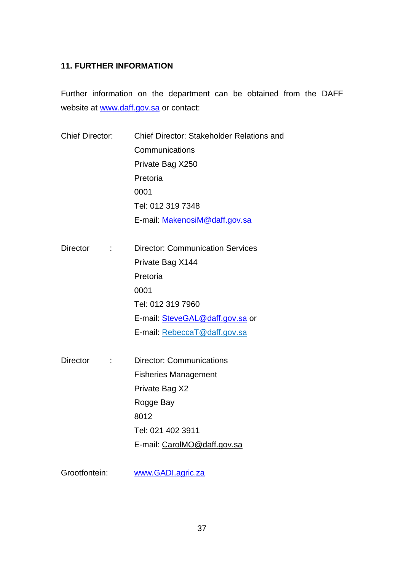#### <span id="page-36-0"></span>**11. FURTHER INFORMATION**

Further information on the department can be obtained from the DAFF website at [www.daff.gov.sa](http://www.daff.gov.za/) or contact:

| <b>Chief Director:</b> | Chief Director: Stakeholder Relations and<br>Communications |  |
|------------------------|-------------------------------------------------------------|--|
|                        |                                                             |  |
|                        | Private Bag X250                                            |  |
|                        | Pretoria                                                    |  |
|                        | 0001                                                        |  |
|                        | Tel: 012 319 7348                                           |  |
|                        | E-mail: MakenosiM@daff.gov.sa                               |  |
| <b>Director</b>        | <b>Director: Communication Services</b>                     |  |
|                        | Private Bag X144                                            |  |
|                        | Pretoria                                                    |  |
|                        | 0001                                                        |  |
|                        | Tel: 012 319 7960                                           |  |
|                        | E-mail: SteveGAL@daff.gov.sa or                             |  |
|                        | E-mail: RebeccaT@daff.gov.sa                                |  |
| <b>Director</b>        | <b>Director: Communications</b>                             |  |
|                        | <b>Fisheries Management</b>                                 |  |
|                        | Private Bag X2                                              |  |
|                        | Rogge Bay                                                   |  |
|                        | 8012                                                        |  |
|                        | Tel: 021 402 3911                                           |  |
|                        | E-mail: CarolMO@daff.gov.sa                                 |  |
|                        |                                                             |  |

Grootfontein: [www.GADI.agric.za](http://www.gadi.agric.za/)